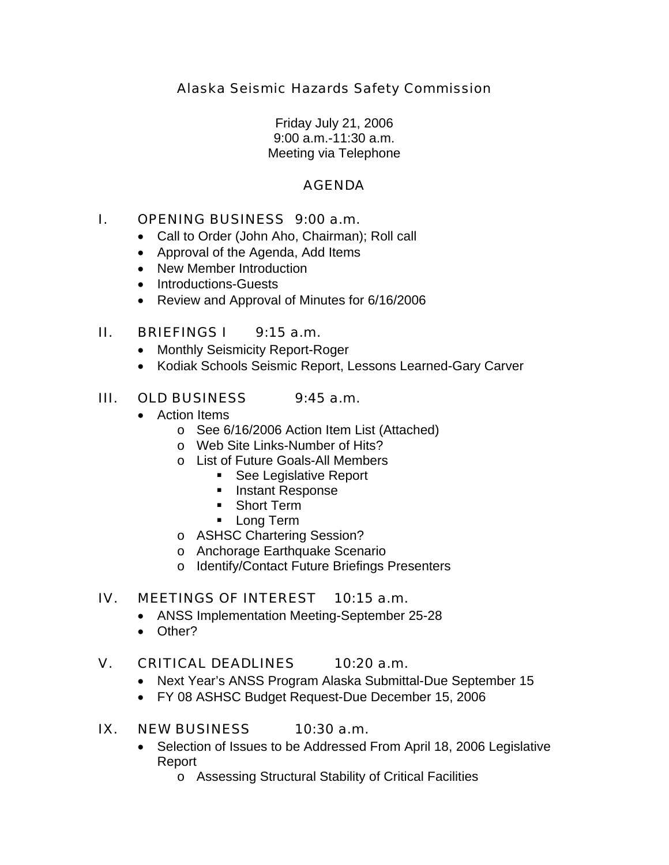Alaska Seismic Hazards Safety Commission

Friday July 21, 2006 9:00 a.m.-11:30 a.m. Meeting via Telephone

# AGENDA

## I. OPENING BUSINESS 9:00 a.m.

- Call to Order (John Aho, Chairman); Roll call
- Approval of the Agenda, Add Items
- New Member Introduction
- Introductions-Guests
- Review and Approval of Minutes for 6/16/2006

## II. BRIEFINGS I 9:15 a.m.

- Monthly Seismicity Report-Roger
- Kodiak Schools Seismic Report, Lessons Learned-Gary Carver

# III. OLD BUSINESS 9:45 a.m.

- Action Items
	- o See 6/16/2006 Action Item List (Attached)
	- o Web Site Links-Number of Hits?
	- o List of Future Goals-All Members
		- See Legislative Report
		- **Instant Response**
		- **Short Term**
		- **Long Term**
	- o ASHSC Chartering Session?
	- o Anchorage Earthquake Scenario
	- o Identify/Contact Future Briefings Presenters

#### IV. MEETINGS OF INTEREST 10:15 a.m.

- ANSS Implementation Meeting-September 25-28
- Other?

## V. CRITICAL DEADLINES 10:20 a.m.

- Next Year's ANSS Program Alaska Submittal-Due September 15
- FY 08 ASHSC Budget Request-Due December 15, 2006

#### IX. NEW BUSINESS 10:30 a.m.

- Selection of Issues to be Addressed From April 18, 2006 Legislative Report
	- o Assessing Structural Stability of Critical Facilities